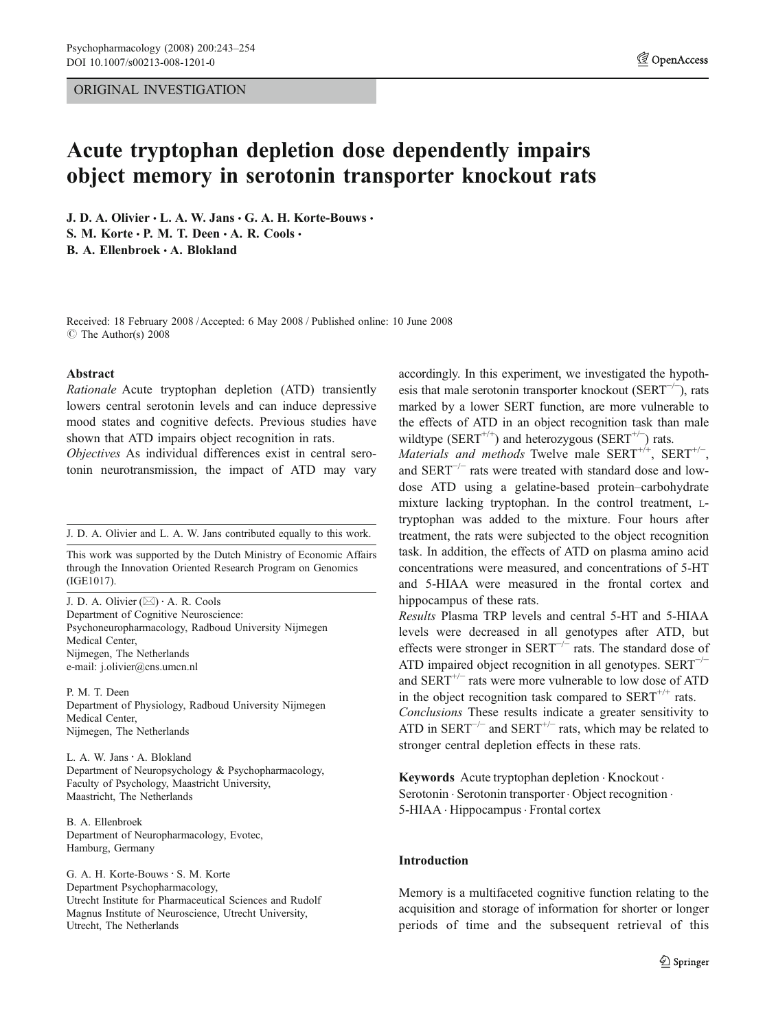## ORIGINAL INVESTIGATION

# Acute tryptophan depletion dose dependently impairs object memory in serotonin transporter knockout rats

J. D. A. Olivier  $\cdot$  L. A. W. Jans  $\cdot$  G. A. H. Korte-Bouws  $\cdot$ S. M. Korte  $\cdot$  P. M. T. Deen  $\cdot$  A. R. Cools  $\cdot$ 

 $B. A.$  Ellenbroek  $\cdot A.$  Blokland

Received: 18 February 2008 /Accepted: 6 May 2008 / Published online: 10 June 2008  $\circ$  The Author(s) 2008

#### Abstract

Rationale Acute tryptophan depletion (ATD) transiently lowers central serotonin levels and can induce depressive mood states and cognitive defects. Previous studies have shown that ATD impairs object recognition in rats.

Objectives As individual differences exist in central serotonin neurotransmission, the impact of ATD may vary

J. D. A. Olivier and L. A. W. Jans contributed equally to this work.

This work was supported by the Dutch Ministry of Economic Affairs through the Innovation Oriented Research Program on Genomics (IGE1017).

J. D. A. Olivier (*\**) : A. R. Cools Department of Cognitive Neuroscience: Psychoneuropharmacology, Radboud University Nijmegen Medical Center, Nijmegen, The Netherlands e-mail: j.olivier@cns.umcn.nl

P. M. T. Deen Department of Physiology, Radboud University Nijmegen Medical Center, Nijmegen, The Netherlands

L. A. W. Jans: A. Blokland Department of Neuropsychology & Psychopharmacology, Faculty of Psychology, Maastricht University, Maastricht, The Netherlands

B. A. Ellenbroek Department of Neuropharmacology, Evotec, Hamburg, Germany

G. A. H. Korte-Bouws: S. M. Korte Department Psychopharmacology, Utrecht Institute for Pharmaceutical Sciences and Rudolf Magnus Institute of Neuroscience, Utrecht University, Utrecht, The Netherlands

accordingly. In this experiment, we investigated the hypothesis that male serotonin transporter knockout (SERT<sup>-/−</sup>), rats marked by a lower SERT function, are more vulnerable to the effects of ATD in an object recognition task than male wildtype (SERT<sup>+/+</sup>) and heterozygous (SERT<sup>+/−</sup>) rats.

Materials and methods Twelve male  $SERT^{+/+}$ ,  $SERT^{+/-}$ , and SERT−/<sup>−</sup> rats were treated with standard dose and lowdose ATD using a gelatine-based protein–carbohydrate mixture lacking tryptophan. In the control treatment, Ltryptophan was added to the mixture. Four hours after treatment, the rats were subjected to the object recognition task. In addition, the effects of ATD on plasma amino acid concentrations were measured, and concentrations of 5-HT and 5-HIAA were measured in the frontal cortex and hippocampus of these rats.

Results Plasma TRP levels and central 5-HT and 5-HIAA levels were decreased in all genotypes after ATD, but effects were stronger in SERT<sup> $-/-$ </sup> rats. The standard dose of ATD impaired object recognition in all genotypes.  $SERT^{-/-}$ and  $SERT^{+/-}$  rats were more vulnerable to low dose of ATD in the object recognition task compared to  $SERT^{+/+}$  rats. Conclusions These results indicate a greater sensitivity to ATD in SERT<sup> $-/-$ </sup> and SERT<sup> $+/-$ </sup> rats, which may be related to stronger central depletion effects in these rats.

Keywords Acute tryptophan depletion · Knockout · Serotonin · Serotonin transporter · Object recognition · 5-HIAA . Hippocampus. Frontal cortex

## Introduction

Memory is a multifaceted cognitive function relating to the acquisition and storage of information for shorter or longer periods of time and the subsequent retrieval of this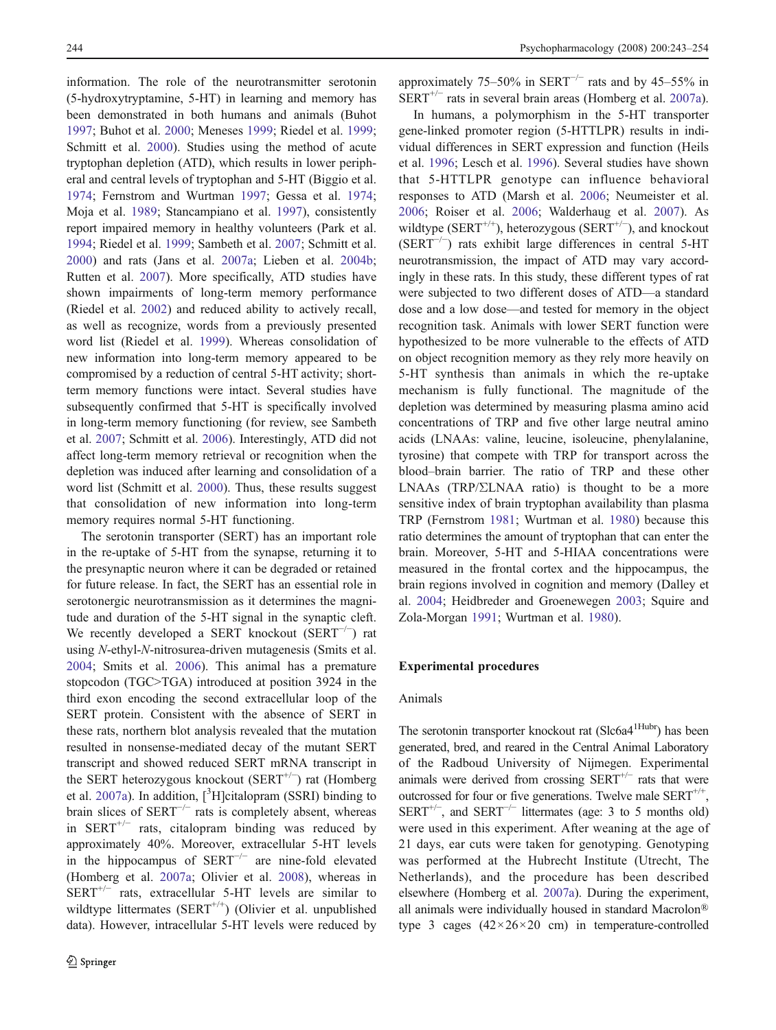information. The role of the neurotransmitter serotonin (5-hydroxytryptamine, 5-HT) in learning and memory has been demonstrated in both humans and animals (Buhot [1997;](#page-10-0) Buhot et al. [2000](#page-10-0); Meneses [1999;](#page-10-0) Riedel et al. [1999](#page-10-0); Schmitt et al. [2000\)](#page-10-0). Studies using the method of acute tryptophan depletion (ATD), which results in lower peripheral and central levels of tryptophan and 5-HT (Biggio et al. [1974;](#page-9-0) Fernstrom and Wurtman [1997;](#page-10-0) Gessa et al. [1974](#page-10-0); Moja et al. [1989;](#page-10-0) Stancampiano et al. [1997](#page-11-0)), consistently report impaired memory in healthy volunteers (Park et al. [1994;](#page-10-0) Riedel et al. [1999;](#page-10-0) Sambeth et al. [2007](#page-10-0); Schmitt et al. [2000\)](#page-10-0) and rats (Jans et al. [2007a](#page-10-0); Lieben et al. [2004b](#page-10-0); Rutten et al. [2007](#page-10-0)). More specifically, ATD studies have shown impairments of long-term memory performance (Riedel et al. [2002](#page-10-0)) and reduced ability to actively recall, as well as recognize, words from a previously presented word list (Riedel et al. [1999\)](#page-10-0). Whereas consolidation of new information into long-term memory appeared to be compromised by a reduction of central 5-HT activity; shortterm memory functions were intact. Several studies have subsequently confirmed that 5-HT is specifically involved in long-term memory functioning (for review, see Sambeth et al. [2007](#page-10-0); Schmitt et al. [2006](#page-10-0)). Interestingly, ATD did not affect long-term memory retrieval or recognition when the depletion was induced after learning and consolidation of a word list (Schmitt et al. [2000](#page-10-0)). Thus, these results suggest that consolidation of new information into long-term memory requires normal 5-HT functioning.

The serotonin transporter (SERT) has an important role in the re-uptake of 5-HT from the synapse, returning it to the presynaptic neuron where it can be degraded or retained for future release. In fact, the SERT has an essential role in serotonergic neurotransmission as it determines the magnitude and duration of the 5-HT signal in the synaptic cleft. We recently developed a SERT knockout (SERT−/<sup>−</sup> ) rat using N-ethyl-N-nitrosurea-driven mutagenesis (Smits et al. [2004;](#page-10-0) Smits et al. [2006](#page-10-0)). This animal has a premature stopcodon (TGC>TGA) introduced at position 3924 in the third exon encoding the second extracellular loop of the SERT protein. Consistent with the absence of SERT in these rats, northern blot analysis revealed that the mutation resulted in nonsense-mediated decay of the mutant SERT transcript and showed reduced SERT mRNA transcript in the SERT heterozygous knockout (SERT+/<sup>−</sup> ) rat (Homberg et al. [2007a\)](#page-10-0). In addition, [<sup>3</sup>H]citalopram (SSRI) binding to brain slices of  $SERT^{-/-}$  rats is completely absent, whereas in SERT<sup>+/−</sup> rats, citalopram binding was reduced by approximately 40%. Moreover, extracellular 5-HT levels in the hippocampus of  $SERT^{-/-}$  are nine-fold elevated (Homberg et al. [2007a](#page-10-0); Olivier et al. [2008\)](#page-10-0), whereas in  $SERT^{+/}$  rats, extracellular 5-HT levels are similar to wildtype littermates (SERT<sup>+/+</sup>) (Olivier et al. unpublished data). However, intracellular 5-HT levels were reduced by

approximately 75–50% in SERT<sup> $-/-$ </sup> rats and by 45–55% in  $SERT^{+/-}$  rats in several brain areas (Homberg et al. [2007a\)](#page-10-0).

In humans, a polymorphism in the 5-HT transporter gene-linked promoter region (5-HTTLPR) results in individual differences in SERT expression and function (Heils et al. [1996](#page-10-0); Lesch et al. [1996](#page-10-0)). Several studies have shown that 5-HTTLPR genotype can influence behavioral responses to ATD (Marsh et al. [2006](#page-10-0); Neumeister et al. [2006](#page-10-0); Roiser et al. [2006](#page-10-0); Walderhaug et al. [2007](#page-11-0)). As wildtype (SERT<sup>+/+</sup>), heterozygous (SERT<sup>+/−</sup>), and knockout (SERT−/<sup>−</sup> ) rats exhibit large differences in central 5-HT neurotransmission, the impact of ATD may vary accordingly in these rats. In this study, these different types of rat were subjected to two different doses of ATD—a standard dose and a low dose—and tested for memory in the object recognition task. Animals with lower SERT function were hypothesized to be more vulnerable to the effects of ATD on object recognition memory as they rely more heavily on 5-HT synthesis than animals in which the re-uptake mechanism is fully functional. The magnitude of the depletion was determined by measuring plasma amino acid concentrations of TRP and five other large neutral amino acids (LNAAs: valine, leucine, isoleucine, phenylalanine, tyrosine) that compete with TRP for transport across the blood–brain barrier. The ratio of TRP and these other LNAAs (TRP/ΣLNAA ratio) is thought to be a more sensitive index of brain tryptophan availability than plasma TRP (Fernstrom [1981;](#page-10-0) Wurtman et al. [1980\)](#page-11-0) because this ratio determines the amount of tryptophan that can enter the brain. Moreover, 5-HT and 5-HIAA concentrations were measured in the frontal cortex and the hippocampus, the brain regions involved in cognition and memory (Dalley et al. [2004;](#page-10-0) Heidbreder and Groenewegen [2003](#page-10-0); Squire and Zola-Morgan [1991;](#page-11-0) Wurtman et al. [1980](#page-11-0)).

## Experimental procedures

#### Animals

The serotonin transporter knockout rat (Slc6a4<sup>1Hubr</sup>) has been generated, bred, and reared in the Central Animal Laboratory of the Radboud University of Nijmegen. Experimental animals were derived from crossing  $SERT^{+/-}$  rats that were outcrossed for four or five generations. Twelve male  $SERT^{+/+}$ , SERT<sup>+/−</sup>, and SERT<sup>-/−</sup> littermates (age: 3 to 5 months old) were used in this experiment. After weaning at the age of 21 days, ear cuts were taken for genotyping. Genotyping was performed at the Hubrecht Institute (Utrecht, The Netherlands), and the procedure has been described elsewhere (Homberg et al. [2007a](#page-10-0)). During the experiment, all animals were individually housed in standard Macrolon® type 3 cages  $(42 \times 26 \times 20$  cm) in temperature-controlled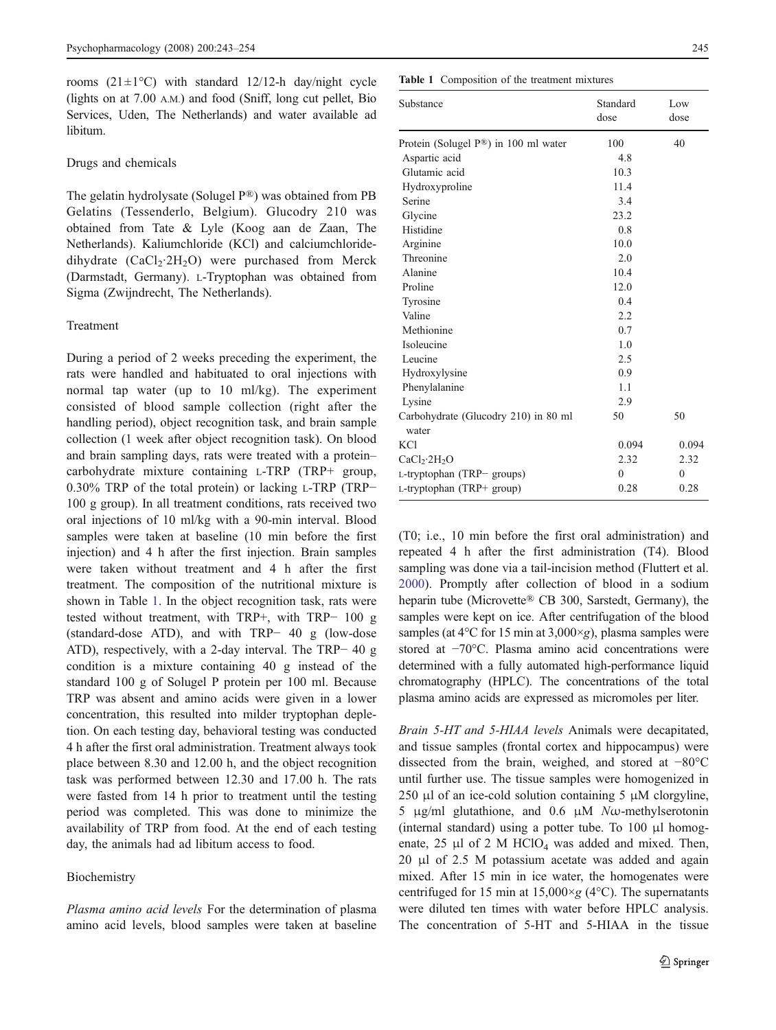rooms  $(21 \pm 1$ °C) with standard 12/12-h day/night cycle (lights on at 7.00 A.M.) and food (Sniff, long cut pellet, Bio Services, Uden, The Netherlands) and water available ad libitum.

#### Drugs and chemicals

The gelatin hydrolysate (Solugel P®) was obtained from PB Gelatins (Tessenderlo, Belgium). Glucodry 210 was obtained from Tate & Lyle (Koog aan de Zaan, The Netherlands). Kaliumchloride (KCl) and calciumchloridedihydrate  $(CaCl<sub>2</sub>·2H<sub>2</sub>O)$  were purchased from Merck (Darmstadt, Germany). L-Tryptophan was obtained from Sigma (Zwijndrecht, The Netherlands).

## Treatment

During a period of 2 weeks preceding the experiment, the rats were handled and habituated to oral injections with normal tap water (up to 10 ml/kg). The experiment consisted of blood sample collection (right after the handling period), object recognition task, and brain sample collection (1 week after object recognition task). On blood and brain sampling days, rats were treated with a protein– carbohydrate mixture containing L-TRP (TRP+ group, 0.30% TRP of the total protein) or lacking L-TRP (TRP− 100 g group). In all treatment conditions, rats received two oral injections of 10 ml/kg with a 90-min interval. Blood samples were taken at baseline (10 min before the first injection) and 4 h after the first injection. Brain samples were taken without treatment and 4 h after the first treatment. The composition of the nutritional mixture is shown in Table 1. In the object recognition task, rats were tested without treatment, with TRP+, with TRP− 100 g (standard-dose ATD), and with TRP− 40 g (low-dose ATD), respectively, with a 2-day interval. The TRP− 40 g condition is a mixture containing 40 g instead of the standard 100 g of Solugel P protein per 100 ml. Because TRP was absent and amino acids were given in a lower concentration, this resulted into milder tryptophan depletion. On each testing day, behavioral testing was conducted 4 h after the first oral administration. Treatment always took place between 8.30 and 12.00 h, and the object recognition task was performed between 12.30 and 17.00 h. The rats were fasted from 14 h prior to treatment until the testing period was completed. This was done to minimize the availability of TRP from food. At the end of each testing day, the animals had ad libitum access to food.

## **Biochemistry**

Plasma amino acid levels For the determination of plasma amino acid levels, blood samples were taken at baseline Table 1 Composition of the treatment mixtures

| Substance                                          | Standard<br>dose | Low<br>dose  |
|----------------------------------------------------|------------------|--------------|
| Protein (Solugel $P^{\circledR}$ ) in 100 ml water | 100              | 40           |
| Aspartic acid                                      | 4.8              |              |
| Glutamic acid                                      | 10.3             |              |
| Hydroxyproline                                     | 11.4             |              |
| Serine                                             | 3.4              |              |
| Glycine                                            | 23.2             |              |
| Histidine                                          | 0.8              |              |
| Arginine                                           | 10.0             |              |
| Threonine                                          | 2.0              |              |
| Alanine                                            | 10.4             |              |
| Proline                                            | 12.0             |              |
| Tyrosine                                           | 0.4              |              |
| Valine                                             | 2.2              |              |
| Methionine                                         | 0.7              |              |
| Isoleucine                                         | 1.0              |              |
| Leucine                                            | 2.5              |              |
| Hydroxylysine                                      | 0.9              |              |
| Phenylalanine                                      | 1.1              |              |
| Lysine                                             | 2.9              |              |
| Carbohydrate (Glucodry 210) in 80 ml<br>water      | 50               | 50           |
| <b>KCl</b>                                         | 0.094            | 0.094        |
| CaCl <sub>2</sub> ·2H <sub>2</sub> O               | 2.32             | 2.32         |
| L-tryptophan (TRP-groups)                          | $\mathbf{0}$     | $\mathbf{0}$ |
| $L$ -tryptophan (TRP+ group)                       | 0.28             | 0.28         |

(T0; i.e., 10 min before the first oral administration) and repeated 4 h after the first administration (T4). Blood sampling was done via a tail-incision method (Fluttert et al. [2000](#page-10-0)). Promptly after collection of blood in a sodium heparin tube (Microvette® CB 300, Sarstedt, Germany), the samples were kept on ice. After centrifugation of the blood samples (at 4°C for 15 min at 3,000×g), plasma samples were stored at −70°C. Plasma amino acid concentrations were determined with a fully automated high-performance liquid chromatography (HPLC). The concentrations of the total plasma amino acids are expressed as micromoles per liter.

Brain 5-HT and 5-HIAA levels Animals were decapitated, and tissue samples (frontal cortex and hippocampus) were dissected from the brain, weighed, and stored at −80°C until further use. The tissue samples were homogenized in 250 μl of an ice-cold solution containing 5 μM clorgyline, 5 μg/ml glutathione, and 0.6 μM Nω-methylserotonin (internal standard) using a potter tube. To 100 μl homogenate, 25  $\mu$ l of 2 M HClO<sub>4</sub> was added and mixed. Then, 20 μl of 2.5 M potassium acetate was added and again mixed. After 15 min in ice water, the homogenates were centrifuged for 15 min at 15,000 $\times$ g (4 $\degree$ C). The supernatants were diluted ten times with water before HPLC analysis. The concentration of 5-HT and 5-HIAA in the tissue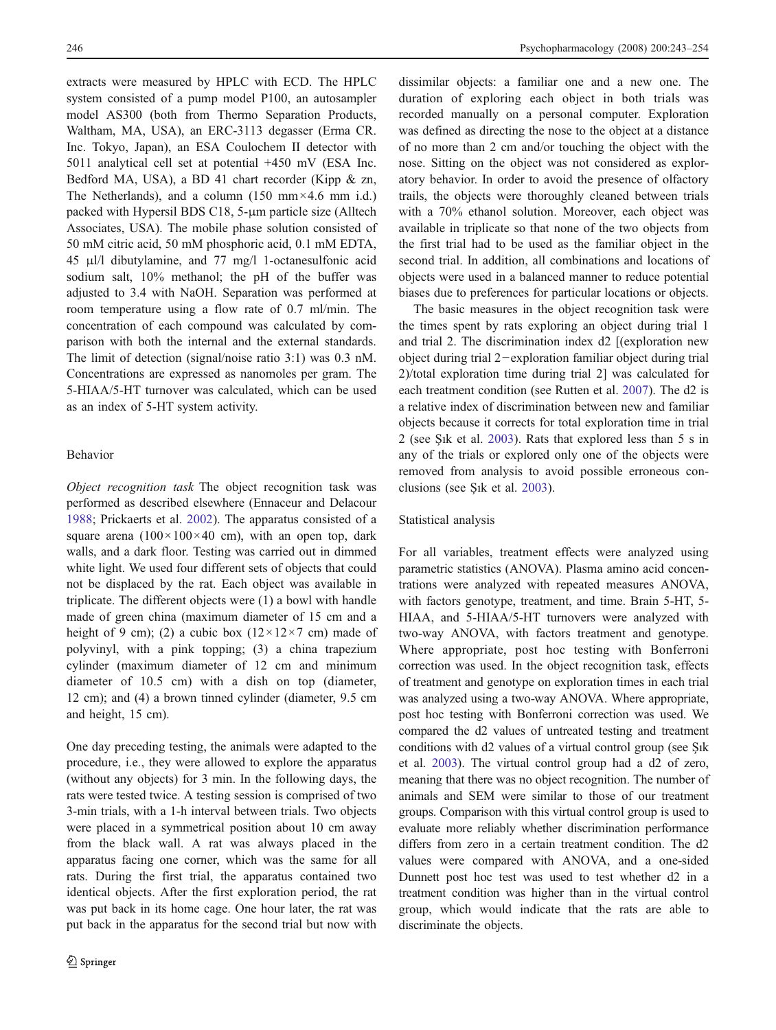extracts were measured by HPLC with ECD. The HPLC system consisted of a pump model P100, an autosampler model AS300 (both from Thermo Separation Products, Waltham, MA, USA), an ERC-3113 degasser (Erma CR. Inc. Tokyo, Japan), an ESA Coulochem II detector with 5011 analytical cell set at potential +450 mV (ESA Inc. Bedford MA, USA), a BD 41 chart recorder (Kipp & zn, The Netherlands), and a column  $(150 \text{ mm} \times 4.6 \text{ mm } \text{i.d.})$ packed with Hypersil BDS C18, 5-μm particle size (Alltech Associates, USA). The mobile phase solution consisted of 50 mM citric acid, 50 mM phosphoric acid, 0.1 mM EDTA, 45 μl/l dibutylamine, and 77 mg/l 1-octanesulfonic acid sodium salt, 10% methanol; the pH of the buffer was adjusted to 3.4 with NaOH. Separation was performed at room temperature using a flow rate of 0.7 ml/min. The concentration of each compound was calculated by comparison with both the internal and the external standards. The limit of detection (signal/noise ratio 3:1) was 0.3 nM. Concentrations are expressed as nanomoles per gram. The 5-HIAA/5-HT turnover was calculated, which can be used as an index of 5-HT system activity.

# Behavior

Object recognition task The object recognition task was performed as described elsewhere (Ennaceur and Delacour [1988;](#page-10-0) Prickaerts et al. [2002](#page-10-0)). The apparatus consisted of a square arena  $(100 \times 100 \times 40$  cm), with an open top, dark walls, and a dark floor. Testing was carried out in dimmed white light. We used four different sets of objects that could not be displaced by the rat. Each object was available in triplicate. The different objects were (1) a bowl with handle made of green china (maximum diameter of 15 cm and a height of 9 cm); (2) a cubic box ( $12 \times 12 \times 7$  cm) made of polyvinyl, with a pink topping; (3) a china trapezium cylinder (maximum diameter of 12 cm and minimum diameter of 10.5 cm) with a dish on top (diameter, 12 cm); and (4) a brown tinned cylinder (diameter, 9.5 cm and height, 15 cm).

One day preceding testing, the animals were adapted to the procedure, i.e., they were allowed to explore the apparatus (without any objects) for 3 min. In the following days, the rats were tested twice. A testing session is comprised of two 3-min trials, with a 1-h interval between trials. Two objects were placed in a symmetrical position about 10 cm away from the black wall. A rat was always placed in the apparatus facing one corner, which was the same for all rats. During the first trial, the apparatus contained two identical objects. After the first exploration period, the rat was put back in its home cage. One hour later, the rat was put back in the apparatus for the second trial but now with

dissimilar objects: a familiar one and a new one. The duration of exploring each object in both trials was recorded manually on a personal computer. Exploration was defined as directing the nose to the object at a distance of no more than 2 cm and/or touching the object with the nose. Sitting on the object was not considered as exploratory behavior. In order to avoid the presence of olfactory trails, the objects were thoroughly cleaned between trials with a 70% ethanol solution. Moreover, each object was available in triplicate so that none of the two objects from the first trial had to be used as the familiar object in the second trial. In addition, all combinations and locations of objects were used in a balanced manner to reduce potential biases due to preferences for particular locations or objects.

The basic measures in the object recognition task were the times spent by rats exploring an object during trial 1 and trial 2. The discrimination index d2 [(exploration new object during trial 2−exploration familiar object during trial 2)/total exploration time during trial 2] was calculated for each treatment condition (see Rutten et al. [2007\)](#page-10-0). The d2 is a relative index of discrimination between new and familiar objects because it corrects for total exploration time in trial 2 (see Şık et al. [2003\)](#page-10-0). Rats that explored less than 5 s in any of the trials or explored only one of the objects were removed from analysis to avoid possible erroneous conclusions (see Şık et al. [2003\)](#page-10-0).

## Statistical analysis

For all variables, treatment effects were analyzed using parametric statistics (ANOVA). Plasma amino acid concentrations were analyzed with repeated measures ANOVA, with factors genotype, treatment, and time. Brain 5-HT, 5- HIAA, and 5-HIAA/5-HT turnovers were analyzed with two-way ANOVA, with factors treatment and genotype. Where appropriate, post hoc testing with Bonferroni correction was used. In the object recognition task, effects of treatment and genotype on exploration times in each trial was analyzed using a two-way ANOVA. Where appropriate, post hoc testing with Bonferroni correction was used. We compared the d2 values of untreated testing and treatment conditions with d2 values of a virtual control group (see Şık et al. [2003](#page-10-0)). The virtual control group had a d2 of zero, meaning that there was no object recognition. The number of animals and SEM were similar to those of our treatment groups. Comparison with this virtual control group is used to evaluate more reliably whether discrimination performance differs from zero in a certain treatment condition. The d2 values were compared with ANOVA, and a one-sided Dunnett post hoc test was used to test whether d2 in a treatment condition was higher than in the virtual control group, which would indicate that the rats are able to discriminate the objects.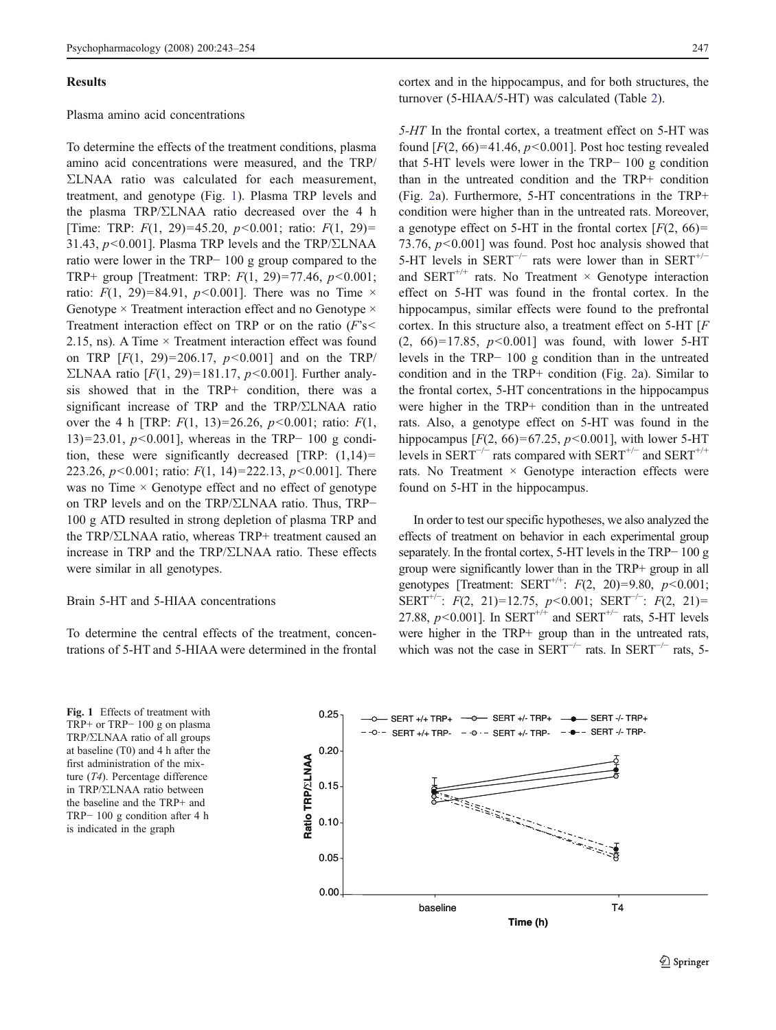#### Results

# Plasma amino acid concentrations

To determine the effects of the treatment conditions, plasma amino acid concentrations were measured, and the TRP/ ΣLNAA ratio was calculated for each measurement, treatment, and genotype (Fig. 1). Plasma TRP levels and the plasma TRP/ΣLNAA ratio decreased over the 4 h [Time: TRP:  $F(1, 29) = 45.20, p < 0.001$ ; ratio:  $F(1, 29) =$ 31.43, p<0.001]. Plasma TRP levels and the TRP/ΣLNAA ratio were lower in the TRP− 100 g group compared to the TRP+ group [Treatment: TRP:  $F(1, 29) = 77.46$ ,  $p < 0.001$ ; ratio:  $F(1, 29) = 84.91$ ,  $p < 0.001$ ]. There was no Time  $\times$ Genotype  $\times$  Treatment interaction effect and no Genotype  $\times$ Treatment interaction effect on TRP or on the ratio  $(F<sub>s</sub>$ 2.15, ns). A Time  $\times$  Treatment interaction effect was found on TRP  $[F(1, 29)=206.17, p<0.001]$  and on the TRP/ ΣLNAA ratio [ $F(1, 29) = 181.17, p < 0.001$ ]. Further analysis showed that in the TRP+ condition, there was a significant increase of TRP and the TRP/ΣLNAA ratio over the 4 h [TRP:  $F(1, 13)=26.26, p<0.001$ ; ratio:  $F(1, 13)=26.26, p<0.001$ ; ratio: 13)=23.01, p<0.001], whereas in the TRP− 100 g condition, these were significantly decreased  $[TRP: (1,14)$ = 223.26,  $p < 0.001$ ; ratio:  $F(1, 14) = 222.13, p < 0.001$ ]. There was no Time  $\times$  Genotype effect and no effect of genotype on TRP levels and on the TRP/ΣLNAA ratio. Thus, TRP− 100 g ATD resulted in strong depletion of plasma TRP and the TRP/ΣLNAA ratio, whereas TRP+ treatment caused an increase in TRP and the TRP/ΣLNAA ratio. These effects were similar in all genotypes.

# Brain 5-HT and 5-HIAA concentrations

To determine the central effects of the treatment, concentrations of 5-HT and 5-HIAA were determined in the frontal cortex and in the hippocampus, and for both structures, the turnover (5-HIAA/5-HT) was calculated (Table [2\)](#page-5-0).

5-HT In the frontal cortex, a treatment effect on 5-HT was found  $[F(2, 66) = 41.46, p < 0.001]$ . Post hoc testing revealed that 5-HT levels were lower in the TRP− 100 g condition than in the untreated condition and the TRP+ condition (Fig. [2](#page-6-0)a). Furthermore, 5-HT concentrations in the TRP+ condition were higher than in the untreated rats. Moreover, a genotype effect on 5-HT in the frontal cortex  $[F(2, 66)$ = 73.76,  $p < 0.001$ ] was found. Post hoc analysis showed that 5-HT levels in SERT<sup> $-/-$ </sup> rats were lower than in SERT<sup>+/</sup> and SERT<sup>+/+</sup> rats. No Treatment  $\times$  Genotype interaction effect on 5-HT was found in the frontal cortex. In the hippocampus, similar effects were found to the prefrontal cortex. In this structure also, a treatment effect on  $5-HT$  [ $F$  $(2, 66)=17.85, p<0.001$  was found, with lower 5-HT levels in the TRP− 100 g condition than in the untreated condition and in the TRP+ condition (Fig. [2a](#page-6-0)). Similar to the frontal cortex, 5-HT concentrations in the hippocampus were higher in the TRP+ condition than in the untreated rats. Also, a genotype effect on 5-HT was found in the hippocampus  $[F(2, 66) = 67.25, p < 0.001]$ , with lower 5-HT levels in SERT<sup>-/−</sup> rats compared with SERT<sup>+/−</sup> and SERT<sup>+/+</sup> rats. No Treatment  $\times$  Genotype interaction effects were found on 5-HT in the hippocampus.

In order to test our specific hypotheses, we also analyzed the effects of treatment on behavior in each experimental group separately. In the frontal cortex, 5-HT levels in the TRP− 100 g group were significantly lower than in the TRP+ group in all genotypes [Treatment: SERT<sup>+/+</sup>:  $F(2, 20) = 9.80, p < 0.001$ ; SERT<sup>+/-</sup>:  $F(2, 21) = 12.75$ ,  $p < 0.001$ ; SERT<sup>-/-</sup>:  $F(2, 21) =$ 27.88,  $p$ <0.001]. In SERT<sup>+/+</sup> and SERT<sup>+/-</sup> rats, 5-HT levels were higher in the TRP+ group than in the untreated rats, which was not the case in SERT<sup> $-/-$ </sup> rats. In SERT<sup> $-/-$ </sup> rats, 5-

**Fig. 1** Effects of treatment with<br>
TRP+ or TRP-100 g on plasma<br>
TRP/ $\Sigma$ LNAA ratio of all groups<br>
at baseline (T0) and 4 h after the<br>
first administration of the mix-<br>
ture (T4). Percentage difference TRP+ or TRP− 100 g on plasma TRP/ΣLNAA ratio of all groups at baseline (T0) and 4 h after the first administration of the mixture (T4). Percentage difference in TRP/ΣLNAA ratio between the baseline and the TRP+ and TRP− 100 g condition after 4 h is indicated in the graph

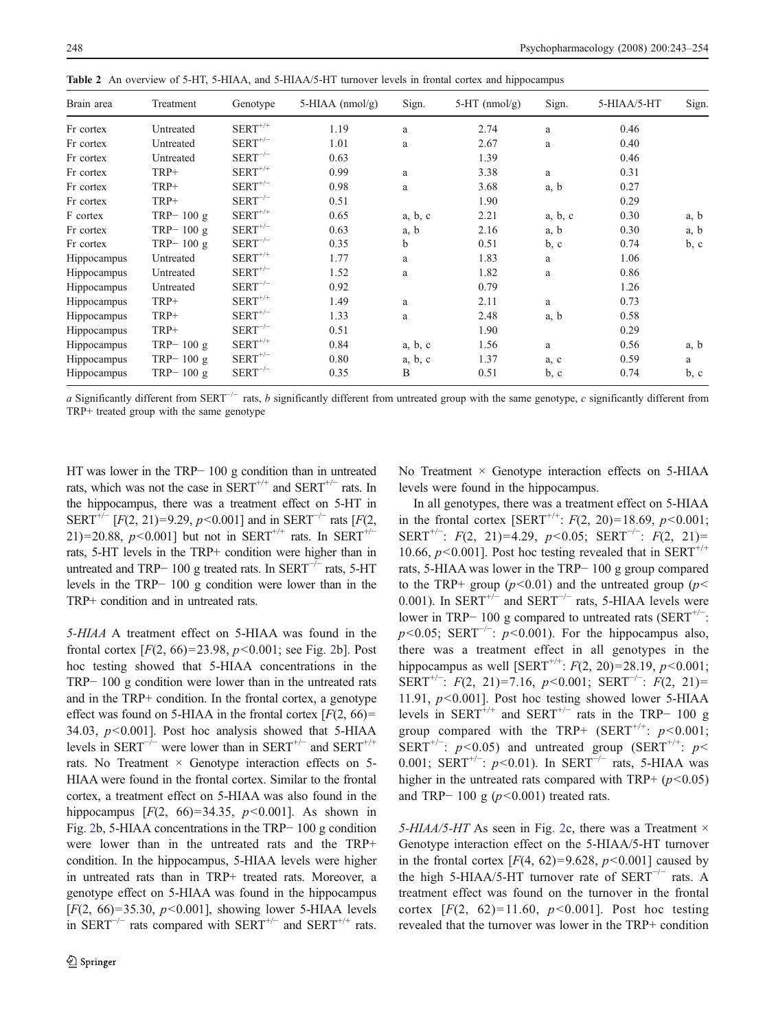| Brain area         | Treatment   | Genotype            | 5-HIAA $(mmol/g)$ | Sign.   | $5-HT$ (nmol/g) | Sign.   | $5-HIAA/5-HT$ | Sign. |
|--------------------|-------------|---------------------|-------------------|---------|-----------------|---------|---------------|-------|
| Fr cortex          | Untreated   | $\text{SERT}^{+/+}$ | 1.19              | a       | 2.74            | a       | 0.46          |       |
| Fr cortex          | Untreated   | $SERT^{+/-}$        | 1.01              | a       | 2.67            | a       | 0.40          |       |
| Fr cortex          | Untreated   | $SERT^{-/-}$        | 0.63              |         | 1.39            |         | 0.46          |       |
| Fr cortex          | TRP+        | $\text{BERT}^{+/+}$ | 0.99              | a       | 3.38            | a       | 0.31          |       |
| Fr cortex          | TRP+        | $SERT^{+/-}$        | 0.98              | a       | 3.68            | a, b    | 0.27          |       |
| Fr cortex          | TRP+        | $SERT^{-/-}$        | 0.51              |         | 1.90            |         | 0.29          |       |
| F cortex           | TRP $-100g$ | $\text{SERT}^{+/+}$ | 0.65              | a, b, c | 2.21            | a, b, c | 0.30          | a, b  |
| Fr cortex          | TRP $-100g$ | $SERT^{+/-}$        | 0.63              | a, b    | 2.16            | a, b    | 0.30          | a, b  |
| Fr cortex          | TRP $-100g$ | $SERT^{-/-}$        | 0.35              | b       | 0.51            | b, c    | 0.74          | b, c  |
| <b>Hippocampus</b> | Untreated   | $SERT^{+/+}$        | 1.77              | a       | 1.83            | a       | 1.06          |       |
| Hippocampus        | Untreated   | $SERT^{+/-}$        | 1.52              | a       | 1.82            | a       | 0.86          |       |
| Hippocampus        | Untreated   | $SERT^{-/-}$        | 0.92              |         | 0.79            |         | 1.26          |       |
| <b>Hippocampus</b> | TRP+        | $SERT^{+/+}$        | 1.49              | a       | 2.11            | a       | 0.73          |       |
| <b>Hippocampus</b> | TRP+        | $\text{SERT}^{+/-}$ | 1.33              | a       | 2.48            | a, b    | 0.58          |       |
| <b>Hippocampus</b> | TRP+        | $SERT^{-/-}$        | 0.51              |         | 1.90            |         | 0.29          |       |
| <b>Hippocampus</b> | TRP $-100g$ | $SERT^{+/+}$        | 0.84              | a, b, c | 1.56            | a       | 0.56          | a, b  |
| <b>Hippocampus</b> | TRP $-100g$ | $\text{SERT}^{+/-}$ | 0.80              | a, b, c | 1.37            | a, c    | 0.59          | a     |
| <b>Hippocampus</b> | TRP $-100g$ | $SERT^{-/-}$        | 0.35              | B       | 0.51            | b, c    | 0.74          | b, c  |

<span id="page-5-0"></span>Table 2 An overview of 5-HT, 5-HIAA, and 5-HIAA/5-HT turnover levels in frontal cortex and hippocampus

a Significantly different from SERT<sup> $-/-$ </sup> rats, b significantly different from untreated group with the same genotype, c significantly different from TRP+ treated group with the same genotype

HT was lower in the TRP− 100 g condition than in untreated rats, which was not the case in SERT<sup>+/+</sup> and SERT<sup>+/-</sup> rats. In the hippocampus, there was a treatment effect on 5-HT in SERT<sup>+/−</sup> [F(2, 21)=9.29, p<0.001] and in SERT<sup>-/−</sup> rats [F(2, 21)=20.88,  $p$ <0.001] but not in SERT<sup>+/+</sup> rats. In SERT<sup>+/-</sup> rats, 5-HT levels in the TRP+ condition were higher than in untreated and TRP− 100 g treated rats. In SERT−/<sup>−</sup> rats, 5-HT levels in the TRP− 100 g condition were lower than in the TRP+ condition and in untreated rats.

5-HIAA A treatment effect on 5-HIAA was found in the frontal cortex  $[F(2, 66) = 23.98, p < 0.001$  $[F(2, 66) = 23.98, p < 0.001$  $[F(2, 66) = 23.98, p < 0.001$ ; see Fig. 2b]. Post hoc testing showed that 5-HIAA concentrations in the TRP− 100 g condition were lower than in the untreated rats and in the TRP+ condition. In the frontal cortex, a genotype effect was found on 5-HIAA in the frontal cortex  $[F(2, 66)$ = 34.03,  $p<0.001$ ]. Post hoc analysis showed that 5-HIAA levels in SERT<sup>-/-</sup> were lower than in SERT<sup>+/-</sup> and SERT<sup>+/+</sup> rats. No Treatment  $\times$  Genotype interaction effects on 5-HIAA were found in the frontal cortex. Similar to the frontal cortex, a treatment effect on 5-HIAA was also found in the hippocampus  $[F(2, 66)=34.35, p<0.001]$ . As shown in Fig. [2b](#page-6-0), 5-HIAA concentrations in the TRP− 100 g condition were lower than in the untreated rats and the TRP+ condition. In the hippocampus, 5-HIAA levels were higher in untreated rats than in TRP+ treated rats. Moreover, a genotype effect on 5-HIAA was found in the hippocampus  $[F(2, 66)=35.30, p<0.001]$ , showing lower 5-HIAA levels in SERT<sup>-/−</sup> rats compared with SERT<sup>+/−</sup> and SERT<sup>+/+</sup> rats.

No Treatment  $\times$  Genotype interaction effects on 5-HIAA levels were found in the hippocampus.

In all genotypes, there was a treatment effect on 5-HIAA in the frontal cortex  $[SET^{+/+}$ :  $F(2, 20) = 18.69, p < 0.001$ ; SERT<sup>+/-</sup>:  $F(2, 21) = 4.29, p < 0.05$ ; SERT<sup>-/-</sup>:  $F(2, 21) =$ 10.66,  $p<0.001$ ]. Post hoc testing revealed that in SERT<sup>+/+</sup> rats, 5-HIAA was lower in the TRP− 100 g group compared to the TRP+ group  $(p<0.01)$  and the untreated group  $(p<$ 0.001). In SERT<sup>+/−</sup> and SERT<sup>-/−</sup> rats, 5-HIAA levels were lower in TRP- 100 g compared to untreated rats (SERT<sup>+/-</sup>:  $p$ <0.05; SERT<sup>-/-</sup>:  $p$ <0.001). For the hippocampus also, there was a treatment effect in all genotypes in the hippocampus as well [SERT<sup>+/+</sup>:  $F(2, 20) = 28.19, p < 0.001$ ; SERT<sup>+/-</sup>:  $F(2, 21) = 7.16$ ,  $p < 0.001$ ; SERT<sup>-/-</sup>:  $F(2, 21) =$ 11.91,  $p<0.001$ ]. Post hoc testing showed lower 5-HIAA levels in SERT<sup>+/+</sup> and SERT<sup>+/-</sup> rats in the TRP- 100 g group compared with the TRP+  $(SERT^{+/+}; p<0.001;$ SERT<sup>+/-</sup>:  $p$ <0.05) and untreated group (SERT<sup>+/+</sup>:  $p$ < 0.001; SERT<sup>+/-</sup>:  $p$ <0.01). In SERT<sup>-/-</sup> rats, 5-HIAA was higher in the untreated rats compared with TRP+  $(p<0.05)$ and TRP $-$  100 g ( $p$ <0.001) treated rats.

5-HIAA/5-HT As seen in Fig. [2c](#page-6-0), there was a Treatment  $\times$ Genotype interaction effect on the 5-HIAA/5-HT turnover in the frontal cortex  $[F(4, 62)=9.628, p<0.001]$  caused by the high 5-HIAA/5-HT turnover rate of  $SERT^{-/-}$  rats. A treatment effect was found on the turnover in the frontal cortex  $[F(2, 62)=11.60, p<0.001]$ . Post hoc testing revealed that the turnover was lower in the TRP+ condition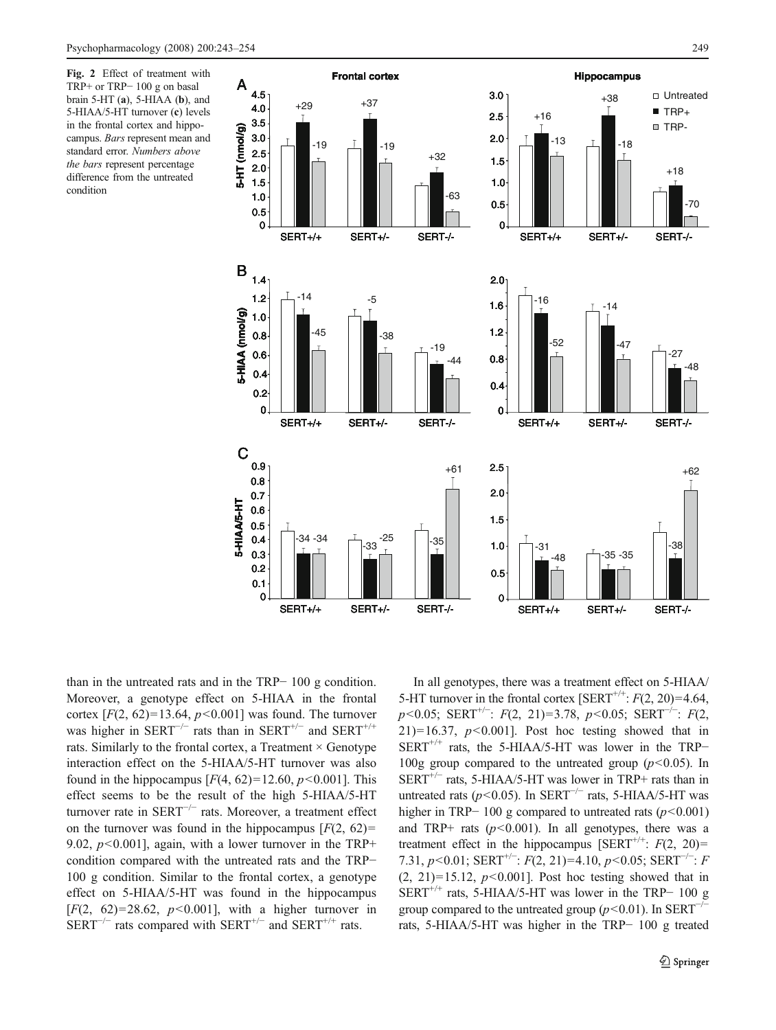<span id="page-6-0"></span>Fig. 2 Effect of treatment with TRP+ or TRP− 100 g on basal brain  $5-HT$  (a),  $5-HIAA$  (b), and 5-HIAA/5-HT turnover (c) levels in the frontal cortex and hippocampus. Bars represent mean and standard error. Numbers above the bars represent percentage difference from the untreated condition



than in the untreated rats and in the TRP− 100 g condition. Moreover, a genotype effect on 5-HIAA in the frontal cortex  $[F(2, 62)=13.64, p<0.001]$  was found. The turnover was higher in SERT<sup>-/−</sup> rats than in SERT<sup>+/−</sup> and SERT<sup>+/+</sup> rats. Similarly to the frontal cortex, a Treatment  $\times$  Genotype interaction effect on the 5-HIAA/5-HT turnover was also found in the hippocampus  $[F(4, 62)=12.60, p<0.001]$ . This effect seems to be the result of the high 5-HIAA/5-HT turnover rate in SERT−/<sup>−</sup> rats. Moreover, a treatment effect on the turnover was found in the hippocampus  $[F(2, 62)$ = 9.02,  $p<0.001$ ], again, with a lower turnover in the TRP+ condition compared with the untreated rats and the TRP− 100 g condition. Similar to the frontal cortex, a genotype effect on 5-HIAA/5-HT was found in the hippocampus  $[F(2, 62)=28.62, p<0.001]$ , with a higher turnover in  $SERT^{-/-}$  rats compared with  $SERT^{+/-}$  and  $SERT^{+/+}$  rats.

In all genotypes, there was a treatment effect on 5-HIAA/ 5-HT turnover in the frontal cortex  $[SERT^{+/+}$ :  $F(2, 20) = 4.64$ ,  $p<0.05$ ; SERT<sup>+/-</sup>:  $F(2, 21)=3.78$ ,  $p<0.05$ ; SERT<sup>-/-</sup>:  $F(2, 11)$  $21$ )=16.37,  $p$ <0.001]. Post hoc testing showed that in  $SERT^{+/+}$  rats, the 5-HIAA/5-HT was lower in the TRP− 100g group compared to the untreated group  $(p<0.05)$ . In  $SERT^{+/-}$  rats, 5-HIAA/5-HT was lower in TRP+ rats than in untreated rats ( $p$ <0.05). In SERT<sup> $-/-$ </sup> rats, 5-HIAA/5-HT was higher in TRP− 100 g compared to untreated rats  $(p<0.001)$ and TRP+ rats  $(p<0.001)$ . In all genotypes, there was a treatment effect in the hippocampus [SERT<sup>+/+</sup>:  $F(2, 20)$ = 7.31,  $p < 0.01$ ; SERT<sup>+/-</sup>:  $F(2, 21) = 4.10, p < 0.05$ ; SERT<sup>-/-</sup>: F  $(2, 21)=15.12$ ,  $p<0.001$ ]. Post hoc testing showed that in SERT<sup>+/+</sup> rats, 5-HIAA/5-HT was lower in the TRP- 100 g group compared to the untreated group ( $p$ <0.01). In SERT<sup>-/−</sup> rats, 5-HIAA/5-HT was higher in the TRP− 100 g treated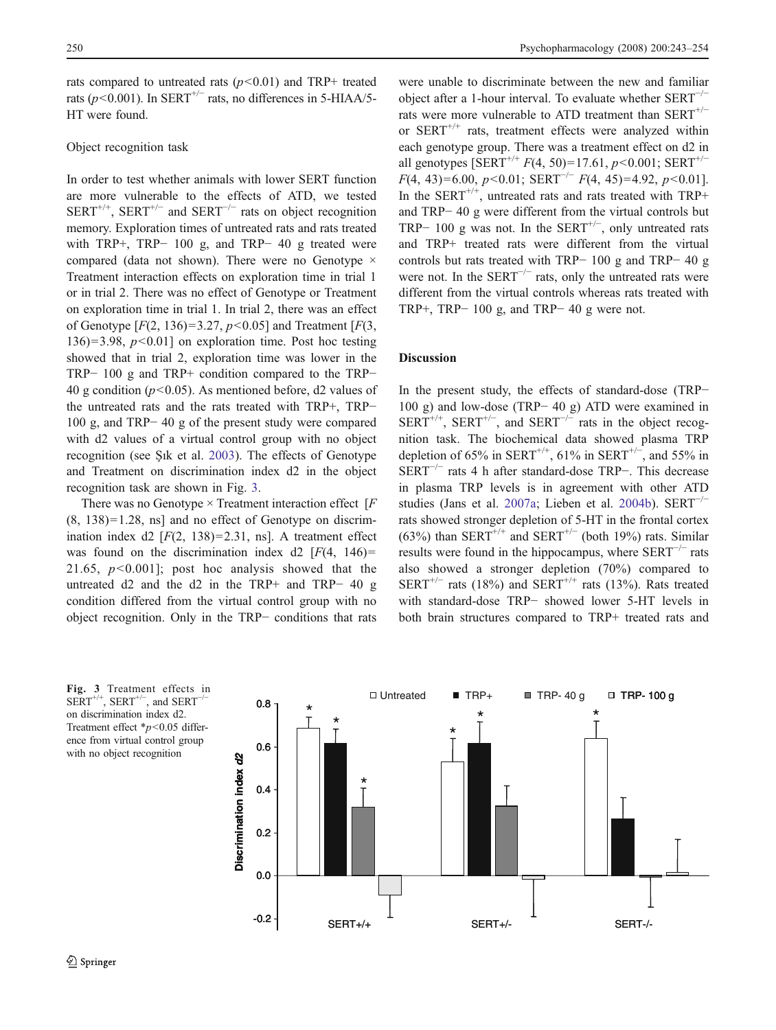rats compared to untreated rats  $(p<0.01)$  and TRP+ treated rats ( $p$ <0.001). In SERT<sup>+/−</sup> rats, no differences in 5-HIAA/5-HT were found.

# Object recognition task

In order to test whether animals with lower SERT function are more vulnerable to the effects of ATD, we tested  $SERT^{+/+}$ ,  $SERT^{+/-}$  and  $SERT^{-/-}$  rats on object recognition memory. Exploration times of untreated rats and rats treated with TRP+, TRP− 100 g, and TRP− 40 g treated were compared (data not shown). There were no Genotype  $\times$ Treatment interaction effects on exploration time in trial 1 or in trial 2. There was no effect of Genotype or Treatment on exploration time in trial 1. In trial 2, there was an effect of Genotype  $[F(2, 136)=3.27, p<0.05]$  and Treatment  $[F(3, 136)]=3.27, p<0.05]$ 136)=3.98,  $p<0.01$  on exploration time. Post hoc testing showed that in trial 2, exploration time was lower in the TRP− 100 g and TRP+ condition compared to the TRP− 40 g condition ( $p$ <0.05). As mentioned before, d2 values of the untreated rats and the rats treated with TRP+, TRP− 100 g, and TRP− 40 g of the present study were compared with d2 values of a virtual control group with no object recognition (see Şık et al. [2003](#page-10-0)). The effects of Genotype and Treatment on discrimination index d2 in the object recognition task are shown in Fig. 3.

There was no Genotype  $\times$  Treatment interaction effect [F  $(8, 138)=1.28$ , ns] and no effect of Genotype on discrimination index d2  $[F(2, 138)=2.31, \text{ns}]$ . A treatment effect was found on the discrimination index  $d2 [F(4, 146) =$ 21.65,  $p<0.001$ ; post hoc analysis showed that the untreated d2 and the d2 in the TRP+ and TRP− 40 g condition differed from the virtual control group with no object recognition. Only in the TRP− conditions that rats

were unable to discriminate between the new and familiar object after a 1-hour interval. To evaluate whether SERT−/<sup>−</sup> rats were more vulnerable to ATD treatment than  $SERT^{+/-}$ or  $SERT^{+/+}$  rats, treatment effects were analyzed within each genotype group. There was a treatment effect on d2 in all genotypes  $[SERT^{+/+} F(4, 50)=17.61, p<0.001; SERT^{+/-}$  $F(4, 43)=6.00, p<0.01$ ; SERT<sup>-/-</sup>  $F(4, 45)=4.92, p<0.01$ ]. In the SERT<sup>+/+</sup>, untreated rats and rats treated with  $TRP+$ and TRP− 40 g were different from the virtual controls but TRP- 100 g was not. In the SERT<sup>+/-</sup>, only untreated rats and TRP+ treated rats were different from the virtual controls but rats treated with TRP− 100 g and TRP− 40 g were not. In the  $SERT^{-/-}$  rats, only the untreated rats were different from the virtual controls whereas rats treated with TRP+, TRP− 100 g, and TRP− 40 g were not.

# Discussion

In the present study, the effects of standard-dose (TRP− 100 g) and low-dose (TRP− 40 g) ATD were examined in  $SERT^{+/+}$ ,  $SERT^{+/-}$ , and  $SERT^{-/-}$  rats in the object recognition task. The biochemical data showed plasma TRP depletion of 65% in SERT<sup>+/+</sup>, 61% in SERT<sup>+/-</sup>, and 55% in SERT−/<sup>−</sup> rats 4 h after standard-dose TRP−. This decrease in plasma TRP levels is in agreement with other ATD studies (Jans et al. [2007a;](#page-10-0) Lieben et al. [2004b](#page-10-0)). SERT<sup>-/−</sup> rats showed stronger depletion of 5-HT in the frontal cortex (63%) than SERT<sup>+/+</sup> and SERT<sup>+/-</sup> (both 19%) rats. Similar results were found in the hippocampus, where  $SERT^{-/-}$  rats also showed a stronger depletion (70%) compared to SERT<sup>+/−</sup> rats (18%) and SERT<sup>+/+</sup> rats (13%). Rats treated with standard-dose TRP− showed lower 5-HT levels in both brain structures compared to TRP+ treated rats and



Fig. 3 Treatment effects in  $SERT^{+/+}$ ,  $SERT^{+/-}$ , and  $SERT^{-/-}$ on discrimination index d2. Treatment effect  $p<0.05$  difference from virtual control group with no object recognition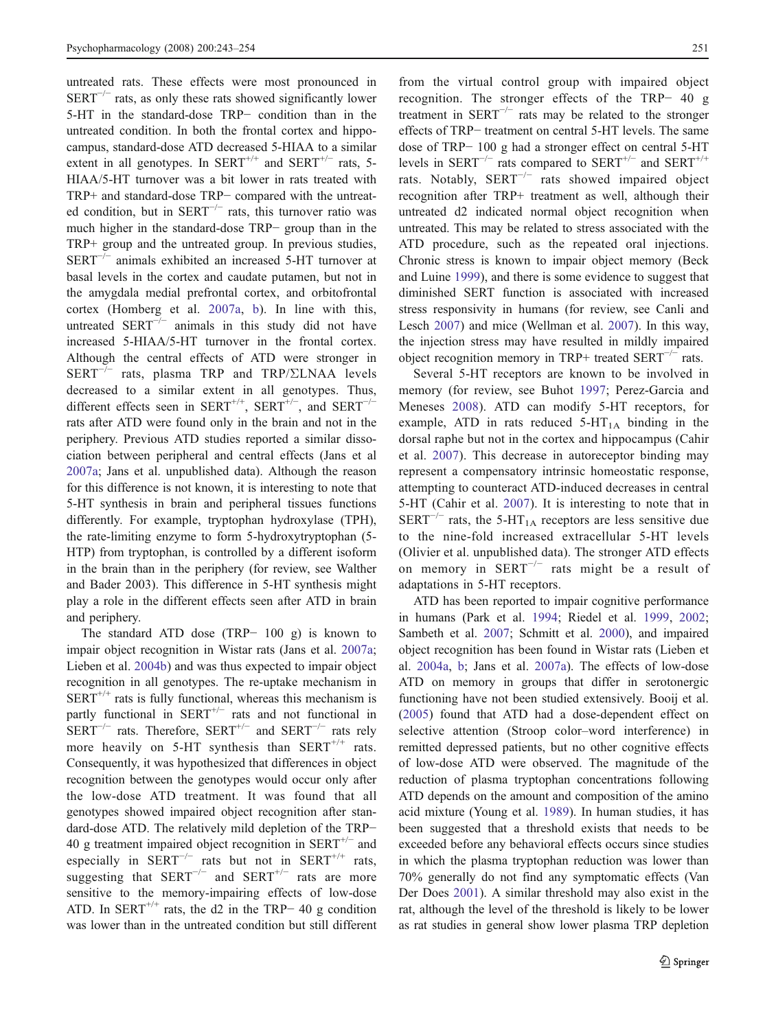untreated rats. These effects were most pronounced in  $SERT^{-/-}$  rats, as only these rats showed significantly lower 5-HT in the standard-dose TRP− condition than in the untreated condition. In both the frontal cortex and hippocampus, standard-dose ATD decreased 5-HIAA to a similar extent in all genotypes. In SERT<sup>+/+</sup> and SERT<sup>+/-</sup> rats, 5-HIAA/5-HT turnover was a bit lower in rats treated with TRP+ and standard-dose TRP− compared with the untreated condition, but in  $SERT^{-/-}$  rats, this turnover ratio was much higher in the standard-dose TRP− group than in the TRP+ group and the untreated group. In previous studies, SERT−/<sup>−</sup> animals exhibited an increased 5-HT turnover at basal levels in the cortex and caudate putamen, but not in the amygdala medial prefrontal cortex, and orbitofrontal cortex (Homberg et al. [2007a,](#page-10-0) [b](#page-10-0)). In line with this, untreated  $SERT^{-/-}$  animals in this study did not have increased 5-HIAA/5-HT turnover in the frontal cortex. Although the central effects of ATD were stronger in SERT<sup>-/-</sup> rats, plasma TRP and TRP/ΣLNAA levels decreased to a similar extent in all genotypes. Thus, different effects seen in SERT<sup>+/+</sup>, SERT<sup>+/-</sup>, and SERT<sup>-/-</sup> rats after ATD were found only in the brain and not in the periphery. Previous ATD studies reported a similar dissociation between peripheral and central effects (Jans et al [2007a](#page-10-0); Jans et al. unpublished data). Although the reason for this difference is not known, it is interesting to note that 5-HT synthesis in brain and peripheral tissues functions differently. For example, tryptophan hydroxylase (TPH), the rate-limiting enzyme to form 5-hydroxytryptophan (5- HTP) from tryptophan, is controlled by a different isoform in the brain than in the periphery (for review, see Walther and Bader 2003). This difference in 5-HT synthesis might play a role in the different effects seen after ATD in brain and periphery.

The standard ATD dose (TRP− 100 g) is known to impair object recognition in Wistar rats (Jans et al. [2007a](#page-10-0); Lieben et al. [2004b](#page-10-0)) and was thus expected to impair object recognition in all genotypes. The re-uptake mechanism in  $SERT^{+/+}$  rats is fully functional, whereas this mechanism is partly functional in SERT<sup>+/−</sup> rats and not functional in  $SERT^{-/-}$  rats. Therefore,  $SERT^{+/-}$  and  $SERT^{-/-}$  rats rely more heavily on 5-HT synthesis than  $SERT^{+/+}$  rats. Consequently, it was hypothesized that differences in object recognition between the genotypes would occur only after the low-dose ATD treatment. It was found that all genotypes showed impaired object recognition after standard-dose ATD. The relatively mild depletion of the TRP− 40 g treatment impaired object recognition in SERT+/<sup>−</sup> and especially in SERT<sup>-/-</sup> rats but not in SERT<sup>+/+</sup> rats, suggesting that  $SERT^{-/-}$  and  $SERT^{+/-}$  rats are more sensitive to the memory-impairing effects of low-dose ATD. In SERT<sup>+/+</sup> rats, the d2 in the TRP− 40 g condition was lower than in the untreated condition but still different

from the virtual control group with impaired object recognition. The stronger effects of the TRP− 40 g treatment in  $SERT^{-/-}$  rats may be related to the stronger effects of TRP− treatment on central 5-HT levels. The same dose of TRP− 100 g had a stronger effect on central 5-HT levels in SERT<sup>-/−</sup> rats compared to SERT<sup>+/−</sup> and SERT<sup>+/+</sup> rats. Notably,  $SERT^{-/-}$  rats showed impaired object recognition after TRP+ treatment as well, although their untreated d2 indicated normal object recognition when untreated. This may be related to stress associated with the ATD procedure, such as the repeated oral injections. Chronic stress is known to impair object memory (Beck and Luine [1999\)](#page-9-0), and there is some evidence to suggest that diminished SERT function is associated with increased stress responsivity in humans (for review, see Canli and Lesch [2007](#page-10-0)) and mice (Wellman et al. [2007\)](#page-11-0). In this way, the injection stress may have resulted in mildly impaired object recognition memory in TRP+ treated SERT−/<sup>−</sup> rats.

Several 5-HT receptors are known to be involved in memory (for review, see Buhot [1997](#page-10-0); Perez-Garcia and Meneses [2008\)](#page-10-0). ATD can modify 5-HT receptors, for example, ATD in rats reduced  $5-HT<sub>1A</sub>$  binding in the dorsal raphe but not in the cortex and hippocampus (Cahir et al. [2007](#page-10-0)). This decrease in autoreceptor binding may represent a compensatory intrinsic homeostatic response, attempting to counteract ATD-induced decreases in central 5-HT (Cahir et al. [2007\)](#page-10-0). It is interesting to note that in SERT<sup> $-/-$ </sup> rats, the 5-HT<sub>1A</sub> receptors are less sensitive due to the nine-fold increased extracellular 5-HT levels (Olivier et al. unpublished data). The stronger ATD effects on memory in SERT−/<sup>−</sup> rats might be a result of adaptations in 5-HT receptors.

ATD has been reported to impair cognitive performance in humans (Park et al. [1994](#page-10-0); Riedel et al. [1999,](#page-10-0) [2002;](#page-10-0) Sambeth et al. [2007](#page-10-0); Schmitt et al. [2000\)](#page-10-0), and impaired object recognition has been found in Wistar rats (Lieben et al. [2004a](#page-10-0), [b](#page-10-0); Jans et al. [2007a\)](#page-10-0). The effects of low-dose ATD on memory in groups that differ in serotonergic functioning have not been studied extensively. Booij et al. [\(2005](#page-9-0)) found that ATD had a dose-dependent effect on selective attention (Stroop color–word interference) in remitted depressed patients, but no other cognitive effects of low-dose ATD were observed. The magnitude of the reduction of plasma tryptophan concentrations following ATD depends on the amount and composition of the amino acid mixture (Young et al. [1989\)](#page-11-0). In human studies, it has been suggested that a threshold exists that needs to be exceeded before any behavioral effects occurs since studies in which the plasma tryptophan reduction was lower than 70% generally do not find any symptomatic effects (Van Der Does [2001](#page-11-0)). A similar threshold may also exist in the rat, although the level of the threshold is likely to be lower as rat studies in general show lower plasma TRP depletion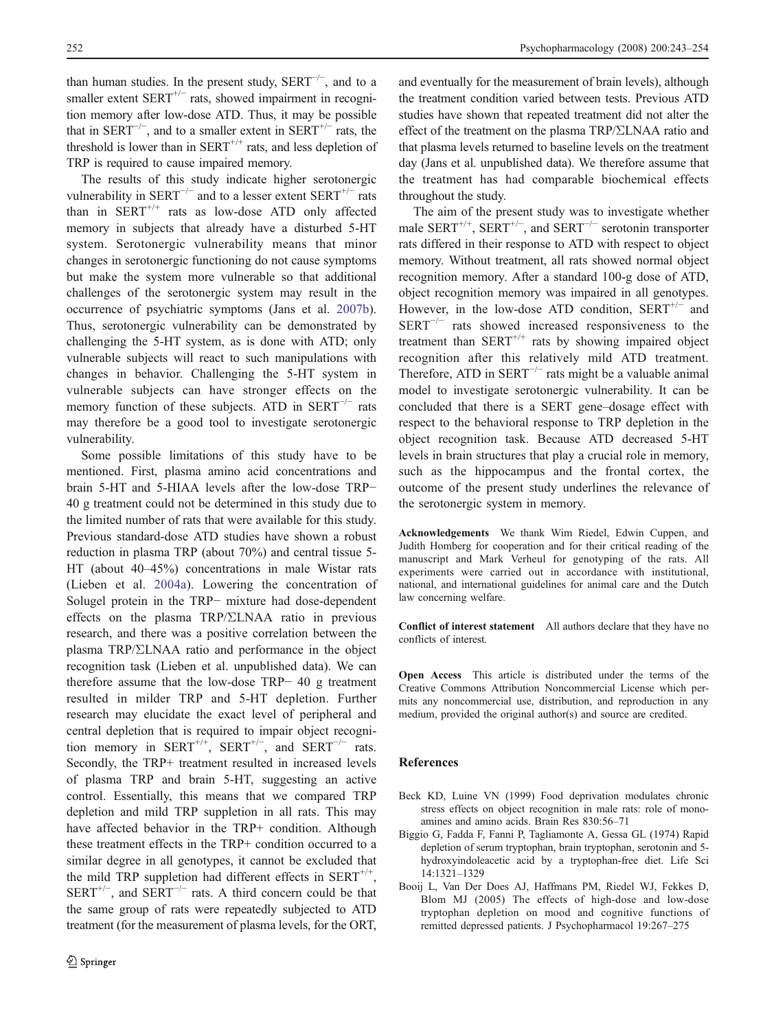<span id="page-9-0"></span>than human studies. In the present study, SERT<sup>-/-</sup>, and to a smaller extent  $SERT^{+/-}$  rats, showed impairment in recognition memory after low-dose ATD. Thus, it may be possible that in SERT<sup>-/-</sup>, and to a smaller extent in SERT<sup>+/-</sup> rats, the threshold is lower than in SERT<sup> $^{+/+}$ </sup> rats, and less depletion of TRP is required to cause impaired memory.

The results of this study indicate higher serotonergic vulnerability in SERT<sup> $-/-$ </sup> and to a lesser extent SERT<sup> $+/-$ </sup> rats than in SERT<sup>+/+</sup> rats as low-dose ATD only affected memory in subjects that already have a disturbed 5-HT system. Serotonergic vulnerability means that minor changes in serotonergic functioning do not cause symptoms but make the system more vulnerable so that additional challenges of the serotonergic system may result in the occurrence of psychiatric symptoms (Jans et al. [2007b](#page-10-0)). Thus, serotonergic vulnerability can be demonstrated by challenging the 5-HT system, as is done with ATD; only vulnerable subjects will react to such manipulations with changes in behavior. Challenging the 5-HT system in vulnerable subjects can have stronger effects on the memory function of these subjects. ATD in  $SERT^{-/-}$  rats may therefore be a good tool to investigate serotonergic vulnerability.

Some possible limitations of this study have to be mentioned. First, plasma amino acid concentrations and brain 5-HT and 5-HIAA levels after the low-dose TRP− 40 g treatment could not be determined in this study due to the limited number of rats that were available for this study. Previous standard-dose ATD studies have shown a robust reduction in plasma TRP (about 70%) and central tissue 5- HT (about 40–45%) concentrations in male Wistar rats (Lieben et al. [2004a](#page-10-0)). Lowering the concentration of Solugel protein in the TRP− mixture had dose-dependent effects on the plasma TRP/ΣLNAA ratio in previous research, and there was a positive correlation between the plasma TRP/ΣLNAA ratio and performance in the object recognition task (Lieben et al. unpublished data). We can therefore assume that the low-dose TRP− 40 g treatment resulted in milder TRP and 5-HT depletion. Further research may elucidate the exact level of peripheral and central depletion that is required to impair object recognition memory in  $SERT^{+/+}$ ,  $SERT^{+/-}$ , and  $SERT^{-/-}$  rats. Secondly, the TRP+ treatment resulted in increased levels of plasma TRP and brain 5-HT, suggesting an active control. Essentially, this means that we compared TRP depletion and mild TRP suppletion in all rats. This may have affected behavior in the TRP+ condition. Although these treatment effects in the TRP+ condition occurred to a similar degree in all genotypes, it cannot be excluded that the mild TRP suppletion had different effects in SERT<sup>+/+</sup>, SERT<sup>+/−</sup>, and SERT<sup>-/−</sup> rats. A third concern could be that the same group of rats were repeatedly subjected to ATD treatment (for the measurement of plasma levels, for the ORT,

and eventually for the measurement of brain levels), although the treatment condition varied between tests. Previous ATD studies have shown that repeated treatment did not alter the effect of the treatment on the plasma TRP/ΣLNAA ratio and that plasma levels returned to baseline levels on the treatment day (Jans et al. unpublished data). We therefore assume that the treatment has had comparable biochemical effects throughout the study.

The aim of the present study was to investigate whether male SERT<sup>+/+</sup>, SERT<sup>+/−</sup>, and SERT<sup>-/−</sup> serotonin transporter rats differed in their response to ATD with respect to object memory. Without treatment, all rats showed normal object recognition memory. After a standard 100-g dose of ATD, object recognition memory was impaired in all genotypes. However, in the low-dose ATD condition,  $SERT^{+/-}$  and  $SERT^{-/-}$  rats showed increased responsiveness to the treatment than  $SERT^{+/+}$  rats by showing impaired object recognition after this relatively mild ATD treatment. Therefore, ATD in  $SERT^{-/-}$  rats might be a valuable animal model to investigate serotonergic vulnerability. It can be concluded that there is a SERT gene–dosage effect with respect to the behavioral response to TRP depletion in the object recognition task. Because ATD decreased 5-HT levels in brain structures that play a crucial role in memory, such as the hippocampus and the frontal cortex, the outcome of the present study underlines the relevance of the serotonergic system in memory.

Acknowledgements We thank Wim Riedel, Edwin Cuppen, and Judith Homberg for cooperation and for their critical reading of the manuscript and Mark Verheul for genotyping of the rats. All experiments were carried out in accordance with institutional, national, and international guidelines for animal care and the Dutch law concerning welfare.

Conflict of interest statement All authors declare that they have no conflicts of interest.

Open Access This article is distributed under the terms of the Creative Commons Attribution Noncommercial License which permits any noncommercial use, distribution, and reproduction in any medium, provided the original author(s) and source are credited.

#### References

- Beck KD, Luine VN (1999) Food deprivation modulates chronic stress effects on object recognition in male rats: role of monoamines and amino acids. Brain Res 830:56–71
- Biggio G, Fadda F, Fanni P, Tagliamonte A, Gessa GL (1974) Rapid depletion of serum tryptophan, brain tryptophan, serotonin and 5 hydroxyindoleacetic acid by a tryptophan-free diet. Life Sci 14:1321–1329
- Booij L, Van Der Does AJ, Haffmans PM, Riedel WJ, Fekkes D, Blom MJ (2005) The effects of high-dose and low-dose tryptophan depletion on mood and cognitive functions of remitted depressed patients. J Psychopharmacol 19:267–275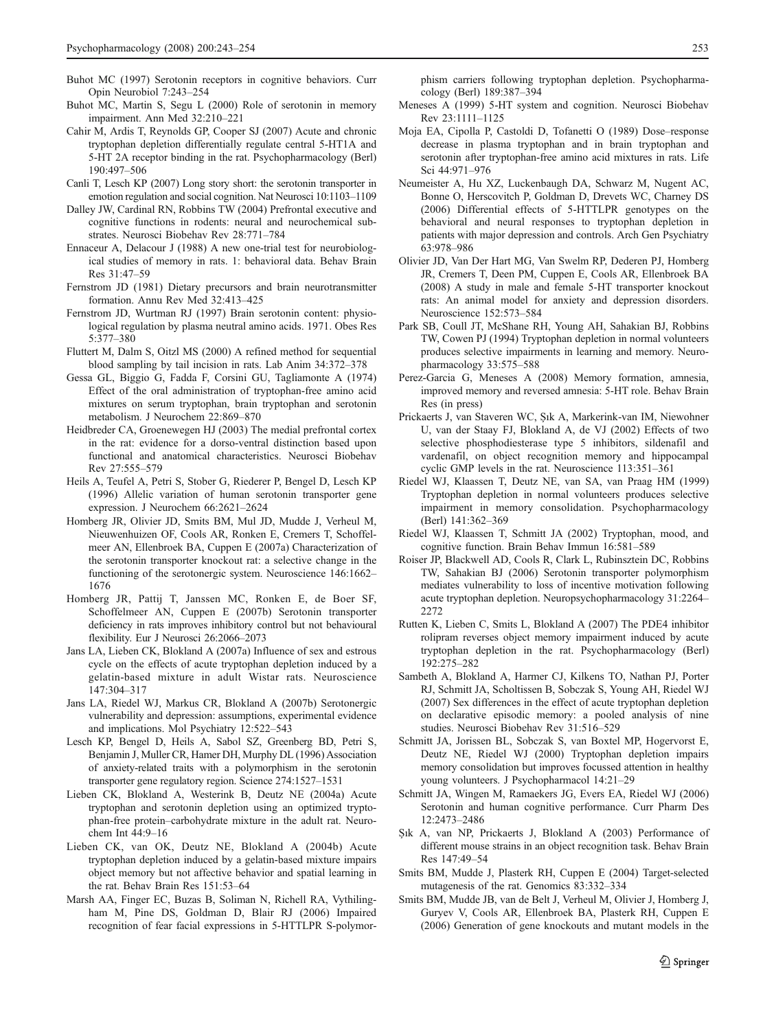- <span id="page-10-0"></span>Buhot MC (1997) Serotonin receptors in cognitive behaviors. Curr Opin Neurobiol 7:243–254
- Buhot MC, Martin S, Segu L (2000) Role of serotonin in memory impairment. Ann Med 32:210–221
- Cahir M, Ardis T, Reynolds GP, Cooper SJ (2007) Acute and chronic tryptophan depletion differentially regulate central 5-HT1A and 5-HT 2A receptor binding in the rat. Psychopharmacology (Berl) 190:497–506
- Canli T, Lesch KP (2007) Long story short: the serotonin transporter in emotion regulation and social cognition. Nat Neurosci 10:1103–1109
- Dalley JW, Cardinal RN, Robbins TW (2004) Prefrontal executive and cognitive functions in rodents: neural and neurochemical substrates. Neurosci Biobehav Rev 28:771–784
- Ennaceur A, Delacour J (1988) A new one-trial test for neurobiological studies of memory in rats. 1: behavioral data. Behav Brain Res 31:47–59
- Fernstrom JD (1981) Dietary precursors and brain neurotransmitter formation. Annu Rev Med 32:413–425
- Fernstrom JD, Wurtman RJ (1997) Brain serotonin content: physiological regulation by plasma neutral amino acids. 1971. Obes Res 5:377–380
- Fluttert M, Dalm S, Oitzl MS (2000) A refined method for sequential blood sampling by tail incision in rats. Lab Anim 34:372–378
- Gessa GL, Biggio G, Fadda F, Corsini GU, Tagliamonte A (1974) Effect of the oral administration of tryptophan-free amino acid mixtures on serum tryptophan, brain tryptophan and serotonin metabolism. J Neurochem 22:869–870
- Heidbreder CA, Groenewegen HJ (2003) The medial prefrontal cortex in the rat: evidence for a dorso-ventral distinction based upon functional and anatomical characteristics. Neurosci Biobehav Rev 27:555–579
- Heils A, Teufel A, Petri S, Stober G, Riederer P, Bengel D, Lesch KP (1996) Allelic variation of human serotonin transporter gene expression. J Neurochem 66:2621–2624
- Homberg JR, Olivier JD, Smits BM, Mul JD, Mudde J, Verheul M, Nieuwenhuizen OF, Cools AR, Ronken E, Cremers T, Schoffelmeer AN, Ellenbroek BA, Cuppen E (2007a) Characterization of the serotonin transporter knockout rat: a selective change in the functioning of the serotonergic system. Neuroscience 146:1662– 1676
- Homberg JR, Pattij T, Janssen MC, Ronken E, de Boer SF, Schoffelmeer AN, Cuppen E (2007b) Serotonin transporter deficiency in rats improves inhibitory control but not behavioural flexibility. Eur J Neurosci 26:2066–2073
- Jans LA, Lieben CK, Blokland A (2007a) Influence of sex and estrous cycle on the effects of acute tryptophan depletion induced by a gelatin-based mixture in adult Wistar rats. Neuroscience 147:304–317
- Jans LA, Riedel WJ, Markus CR, Blokland A (2007b) Serotonergic vulnerability and depression: assumptions, experimental evidence and implications. Mol Psychiatry 12:522–543
- Lesch KP, Bengel D, Heils A, Sabol SZ, Greenberg BD, Petri S, Benjamin J, Muller CR, Hamer DH, Murphy DL (1996) Association of anxiety-related traits with a polymorphism in the serotonin transporter gene regulatory region. Science 274:1527–1531
- Lieben CK, Blokland A, Westerink B, Deutz NE (2004a) Acute tryptophan and serotonin depletion using an optimized tryptophan-free protein–carbohydrate mixture in the adult rat. Neurochem Int 44:9–16
- Lieben CK, van OK, Deutz NE, Blokland A (2004b) Acute tryptophan depletion induced by a gelatin-based mixture impairs object memory but not affective behavior and spatial learning in the rat. Behav Brain Res 151:53–64
- Marsh AA, Finger EC, Buzas B, Soliman N, Richell RA, Vythilingham M, Pine DS, Goldman D, Blair RJ (2006) Impaired recognition of fear facial expressions in 5-HTTLPR S-polymor-

phism carriers following tryptophan depletion. Psychopharmacology (Berl) 189:387–394

- Meneses A (1999) 5-HT system and cognition. Neurosci Biobehav Rev 23:1111–1125
- Moja EA, Cipolla P, Castoldi D, Tofanetti O (1989) Dose–response decrease in plasma tryptophan and in brain tryptophan and serotonin after tryptophan-free amino acid mixtures in rats. Life Sci 44:971–976
- Neumeister A, Hu XZ, Luckenbaugh DA, Schwarz M, Nugent AC, Bonne O, Herscovitch P, Goldman D, Drevets WC, Charney DS (2006) Differential effects of 5-HTTLPR genotypes on the behavioral and neural responses to tryptophan depletion in patients with major depression and controls. Arch Gen Psychiatry 63:978–986
- Olivier JD, Van Der Hart MG, Van Swelm RP, Dederen PJ, Homberg JR, Cremers T, Deen PM, Cuppen E, Cools AR, Ellenbroek BA (2008) A study in male and female 5-HT transporter knockout rats: An animal model for anxiety and depression disorders. Neuroscience 152:573–584
- Park SB, Coull JT, McShane RH, Young AH, Sahakian BJ, Robbins TW, Cowen PJ (1994) Tryptophan depletion in normal volunteers produces selective impairments in learning and memory. Neuropharmacology 33:575–588
- Perez-Garcia G, Meneses A (2008) Memory formation, amnesia, improved memory and reversed amnesia: 5-HT role. Behav Brain Res (in press)
- Prickaerts J, van Staveren WC, Şık A, Markerink-van IM, Niewohner U, van der Staay FJ, Blokland A, de VJ (2002) Effects of two selective phosphodiesterase type 5 inhibitors, sildenafil and vardenafil, on object recognition memory and hippocampal cyclic GMP levels in the rat. Neuroscience 113:351–361
- Riedel WJ, Klaassen T, Deutz NE, van SA, van Praag HM (1999) Tryptophan depletion in normal volunteers produces selective impairment in memory consolidation. Psychopharmacology (Berl) 141:362–369
- Riedel WJ, Klaassen T, Schmitt JA (2002) Tryptophan, mood, and cognitive function. Brain Behav Immun 16:581–589
- Roiser JP, Blackwell AD, Cools R, Clark L, Rubinsztein DC, Robbins TW, Sahakian BJ (2006) Serotonin transporter polymorphism mediates vulnerability to loss of incentive motivation following acute tryptophan depletion. Neuropsychopharmacology 31:2264– 2272
- Rutten K, Lieben C, Smits L, Blokland A (2007) The PDE4 inhibitor rolipram reverses object memory impairment induced by acute tryptophan depletion in the rat. Psychopharmacology (Berl) 192:275–282
- Sambeth A, Blokland A, Harmer CJ, Kilkens TO, Nathan PJ, Porter RJ, Schmitt JA, Scholtissen B, Sobczak S, Young AH, Riedel WJ (2007) Sex differences in the effect of acute tryptophan depletion on declarative episodic memory: a pooled analysis of nine studies. Neurosci Biobehav Rev 31:516–529
- Schmitt JA, Jorissen BL, Sobczak S, van Boxtel MP, Hogervorst E, Deutz NE, Riedel WJ (2000) Tryptophan depletion impairs memory consolidation but improves focussed attention in healthy young volunteers. J Psychopharmacol 14:21–29
- Schmitt JA, Wingen M, Ramaekers JG, Evers EA, Riedel WJ (2006) Serotonin and human cognitive performance. Curr Pharm Des 12:2473–2486
- Sik A, van NP, Prickaerts J, Blokland A (2003) Performance of different mouse strains in an object recognition task. Behav Brain Res 147:49–54
- Smits BM, Mudde J, Plasterk RH, Cuppen E (2004) Target-selected mutagenesis of the rat. Genomics 83:332–334
- Smits BM, Mudde JB, van de Belt J, Verheul M, Olivier J, Homberg J, Guryev V, Cools AR, Ellenbroek BA, Plasterk RH, Cuppen E (2006) Generation of gene knockouts and mutant models in the